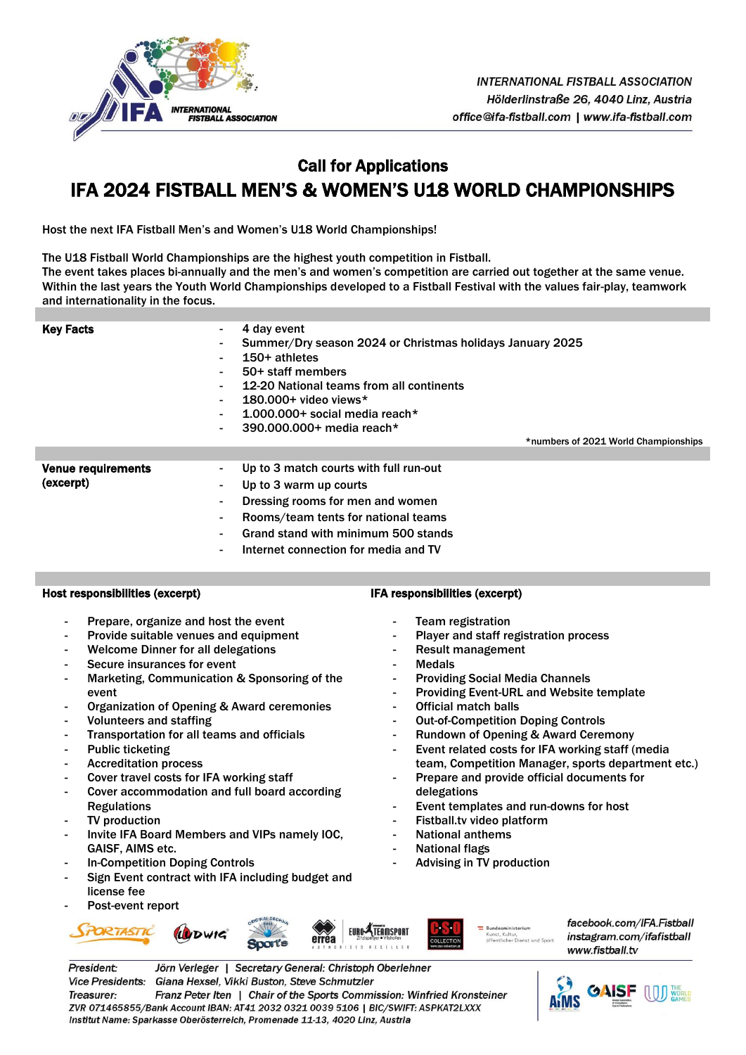

# Call for Applications IFA 2024 FISTBALL MEN'S & WOMEN'S U18 WORLD CHAMPIONSHIPS

Host the next IFA Fistball Men's and Women's U18 World Championships!

The U18 Fistball World Championships are the highest youth competition in Fistball. The event takes places bi-annually and the men's and women's competition are carried out together at the same venue. Within the last years the Youth World Championships developed to a Fistball Festival with the values fair-play, teamwork and internationality in the focus.

| <b>Key Facts</b>                       | 4 day event<br>$\sim$<br>Summer/Dry season 2024 or Christmas holidays January 2025<br>$\blacksquare$<br>$150+$ athletes<br>$\blacksquare$<br>50+ staff members<br>$\sim$<br>12-20 National teams from all continents<br>$\blacksquare$<br>$180.000 +$ video views*<br>$\blacksquare$<br>$1.000.000 +$ social media reach*<br>$\sim$<br>390.000.000+ media reach*<br>$\blacksquare$<br>*numbers of 2021 World Championships |
|----------------------------------------|----------------------------------------------------------------------------------------------------------------------------------------------------------------------------------------------------------------------------------------------------------------------------------------------------------------------------------------------------------------------------------------------------------------------------|
| <b>Venue requirements</b><br>(excerpt) | Up to 3 match courts with full run-out<br>$\blacksquare$<br>Up to 3 warm up courts<br>٠<br>Dressing rooms for men and women<br>$\blacksquare$<br>Rooms/team tents for national teams<br>$\blacksquare$<br>Grand stand with minimum 500 stands<br>۰<br>Internet connection for media and TV<br>$\sim$                                                                                                                       |

### Host responsibilities (excerpt)

- Prepare, organize and host the event
- Provide suitable venues and equipment
- Welcome Dinner for all delegations
- Secure insurances for event
- Marketing, Communication & Sponsoring of the event
- Organization of Opening & Award ceremonies
- Volunteers and staffing
- Transportation for all teams and officials
- Public ticketing
- Accreditation process
- Cover travel costs for IFA working staff
- Cover accommodation and full board according **Regulations**
- TV production
- Invite IFA Board Members and VIPs namely IOC, GAISF, AIMS etc.
- In-Competition Doping Controls
- Sign Event contract with IFA including budget and license fee
- Post-event report





- Team registration Player and staff registration process
- 
- Result management
- **Medals**
- Providing Social Media Channels
- Providing Event-URL and Website template
- Official match balls
- **Out-of-Competition Doping Controls**
- Rundown of Opening & Award Ceremony
- Event related costs for IFA working staff (media team, Competition Manager, sports department etc.)
- Prepare and provide official documents for delegations
- Event templates and run-downs for host
- Fistball.tv video platform
- National anthems
- National flags
- Advising in TV production



**FIIRO ATFAMSPORT** 

facebook.com/IFA.Fistball instagram.com/ifafistball www.fistball.tv



ZVR 071465855/Bank Account IBAN: AT41 2032 0321 0039 5106 | BIC/SWIFT: ASPKAT2LXXX Institut Name: Sparkasse Oberösterreich, Promenade 11-13, 4020 Linz, Austria